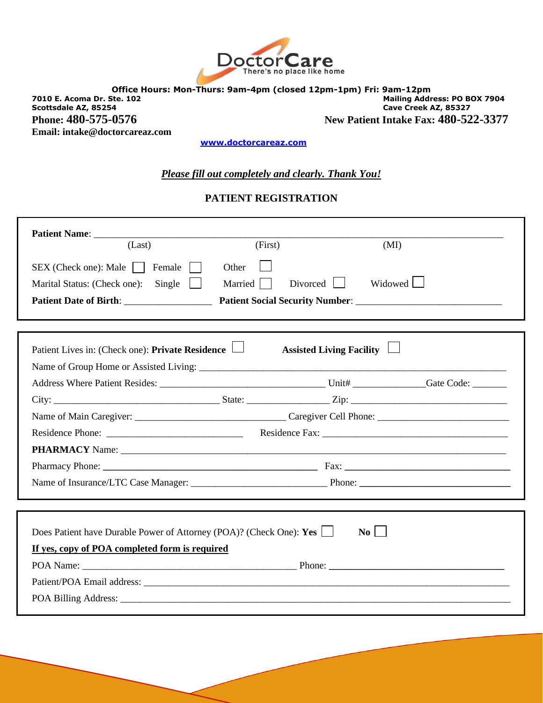

**Office Hours: Mon-Thurs: 9am-4pm (closed 12pm-1pm) Fri: 9am-12pm 7010 E. Acoma Dr. Ste. 102 Mailing Address: PO BOX 7904 Scottsdale AZ, 85254 Cave Creek AZ, 85327 Phone: 480-575-0576** New Patient Intake Fax: 480-522-3377 **Email: intake@doctorcareaz.com** 

 **[www.doctorcareaz.com](http://www.doctorcareaz.com/)**

### *Please fill out completely and clearly. Thank You!*

### **PATIENT REGISTRATION**

| (Last)                                                              | (First)                  | (MI)             |
|---------------------------------------------------------------------|--------------------------|------------------|
| SEX (Check one): Male     Female                                    | Other                    |                  |
| Single $\Box$<br>Marital Status: (Check one):                       | $Divored$    <br>Married | Widowed <u>I</u> |
| Patient Date of Birth: Patient Social Security Number:              |                          |                  |
|                                                                     |                          |                  |
|                                                                     | Assisted Living Facility |                  |
| Patient Lives in: (Check one): Private Residence                    |                          |                  |
|                                                                     |                          |                  |
|                                                                     |                          |                  |
|                                                                     |                          |                  |
|                                                                     |                          |                  |
|                                                                     |                          |                  |
|                                                                     |                          |                  |
|                                                                     |                          |                  |
|                                                                     |                          |                  |
|                                                                     |                          |                  |
|                                                                     |                          |                  |
| Does Patient have Durable Power of Attorney (POA)? (Check One): Yes |                          | $\bf{No}$        |
| If yes, copy of POA completed form is required                      |                          |                  |
|                                                                     |                          |                  |
|                                                                     |                          |                  |
|                                                                     |                          |                  |
|                                                                     |                          |                  |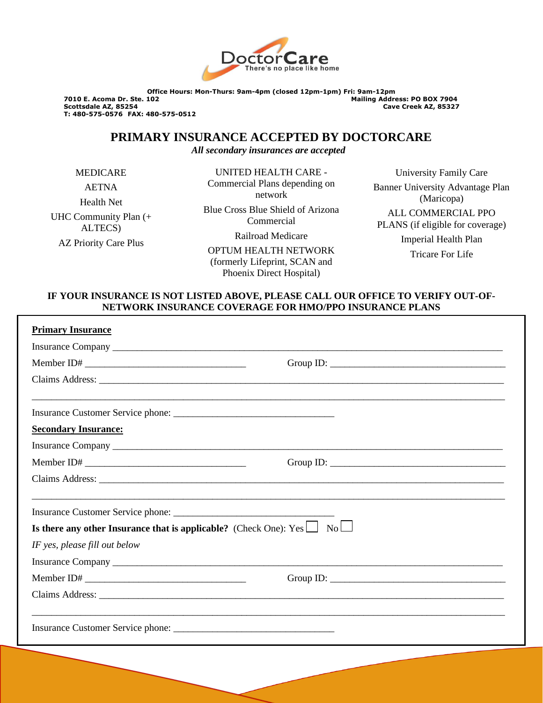

**Office Hours: Mon-Thurs: 9am-4pm (closed 12pm-1pm) Fri: 9am-12pm 7010 E. Acoma Dr. Ste. 102 Mailing Address: PO BOX 7904 T: 480-575-0576 FAX: 480-575-0512**

**Scottsdale AZ, 85254 Cave Creek AZ, 85327**

**PRIMARY INSURANCE ACCEPTED BY DOCTORCARE**

*All secondary insurances are accepted*

MEDICARE

AETNA

Health Net UHC Community Plan (+ ALTECS) AZ Priority Care Plus

UNITED HEALTH CARE - Commercial Plans depending on network Blue Cross Blue Shield of Arizona Commercial Railroad Medicare

OPTUM HEALTH NETWORK (formerly Lifeprint, SCAN and Phoenix Direct Hospital)

University Family Care Banner University Advantage Plan (Maricopa) ALL COMMERCIAL PPO PLANS (if eligible for coverage) Imperial Health Plan Tricare For Life

### **IF YOUR INSURANCE IS NOT LISTED ABOVE, PLEASE CALL OUR OFFICE TO VERIFY OUT-OF-NETWORK INSURANCE COVERAGE FOR HMO/PPO INSURANCE PLANS**

| <b>Primary Insurance</b>                                                                                                                                                                                                       |  |
|--------------------------------------------------------------------------------------------------------------------------------------------------------------------------------------------------------------------------------|--|
|                                                                                                                                                                                                                                |  |
|                                                                                                                                                                                                                                |  |
|                                                                                                                                                                                                                                |  |
| Insurance Customer Service phone:                                                                                                                                                                                              |  |
| <b>Secondary Insurance:</b>                                                                                                                                                                                                    |  |
| Insurance Company has a state of the state of the state of the state of the state of the state of the state of the state of the state of the state of the state of the state of the state of the state of the state of the sta |  |
|                                                                                                                                                                                                                                |  |
|                                                                                                                                                                                                                                |  |
|                                                                                                                                                                                                                                |  |
| Is there any other Insurance that is applicable? (Check One): $Yes \Box No \Box$                                                                                                                                               |  |
| IF yes, please fill out below                                                                                                                                                                                                  |  |
|                                                                                                                                                                                                                                |  |
|                                                                                                                                                                                                                                |  |
|                                                                                                                                                                                                                                |  |
|                                                                                                                                                                                                                                |  |
|                                                                                                                                                                                                                                |  |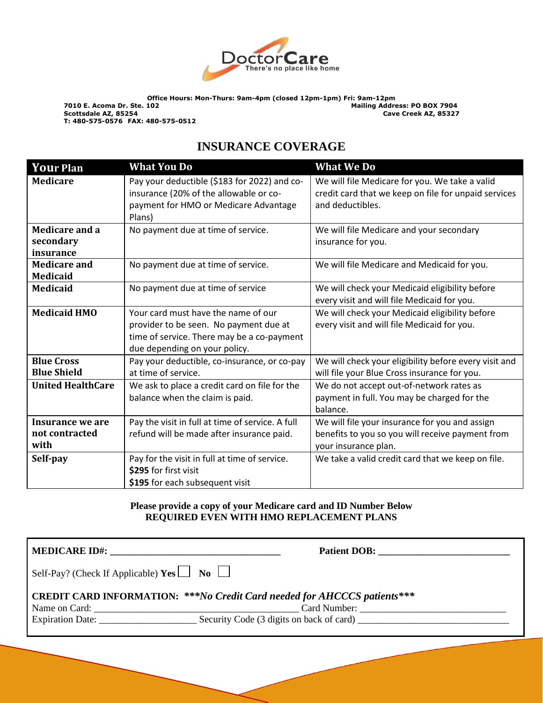

# **INSURANCE COVERAGE**

| <b>Your Plan</b>                           | <b>What You Do</b>                                                                                                                                           | <b>What We Do</b>                                                                                                          |
|--------------------------------------------|--------------------------------------------------------------------------------------------------------------------------------------------------------------|----------------------------------------------------------------------------------------------------------------------------|
| <b>Medicare</b>                            | Pay your deductible (\$183 for 2022) and co-<br>insurance (20% of the allowable or co-<br>payment for HMO or Medicare Advantage<br>Plans)                    | We will file Medicare for you. We take a valid<br>credit card that we keep on file for unpaid services<br>and deductibles. |
| Medicare and a<br>secondary<br>insurance   | No payment due at time of service.                                                                                                                           | We will file Medicare and your secondary<br>insurance for you.                                                             |
| <b>Medicare and</b><br><b>Medicaid</b>     | No payment due at time of service.                                                                                                                           | We will file Medicare and Medicaid for you.                                                                                |
| <b>Medicaid</b>                            | No payment due at time of service                                                                                                                            | We will check your Medicaid eligibility before<br>every visit and will file Medicaid for you.                              |
| <b>Medicaid HMO</b>                        | Your card must have the name of our<br>provider to be seen. No payment due at<br>time of service. There may be a co-payment<br>due depending on your policy. | We will check your Medicaid eligibility before<br>every visit and will file Medicaid for you.                              |
| <b>Blue Cross</b><br><b>Blue Shield</b>    | Pay your deductible, co-insurance, or co-pay<br>at time of service.                                                                                          | We will check your eligibility before every visit and<br>will file your Blue Cross insurance for you.                      |
| <b>United HealthCare</b>                   | We ask to place a credit card on file for the<br>balance when the claim is paid.                                                                             | We do not accept out-of-network rates as<br>payment in full. You may be charged for the<br>balance.                        |
| Insurance we are<br>not contracted<br>with | Pay the visit in full at time of service. A full<br>refund will be made after insurance paid.                                                                | We will file your insurance for you and assign<br>benefits to you so you will receive payment from<br>your insurance plan. |
| Self-pay                                   | Pay for the visit in full at time of service.<br>\$295 for first visit<br>\$195 for each subsequent visit                                                    | We take a valid credit card that we keep on file.                                                                          |

### **Please provide a copy of your Medicare card and ID Number Below REQUIRED EVEN WITH HMO REPLACEMENT PLANS**

**MEDICARE ID#: \_\_\_\_\_\_\_\_\_\_\_\_\_\_\_\_\_\_\_\_\_\_\_\_\_\_\_\_\_\_\_\_\_\_\_ Patient DOB: \_\_\_\_\_\_\_\_\_\_\_\_\_\_\_\_\_\_\_\_\_\_\_\_\_\_\_** Self-Pay? (Check If Applicable) **Yes**  $\Box$  **No**  $\Box$ **CREDIT CARD INFORMATION:** *\*\*\*No Credit Card needed for AHCCCS patients\*\*\** Name on Card: \_\_\_\_\_\_\_\_\_\_\_\_\_\_\_\_\_\_\_\_\_\_\_\_\_\_\_\_\_\_\_\_\_\_\_\_\_\_\_\_\_\_ Card Number: \_\_\_\_\_\_\_\_\_\_\_\_\_\_\_\_\_\_\_\_\_\_\_\_\_\_\_\_\_\_ Expiration Date: \_\_\_\_\_\_\_\_\_\_\_\_\_\_\_\_\_\_\_\_ Security Code (3 digits on back of card) \_\_\_\_\_\_\_\_\_\_\_\_\_\_\_\_\_\_\_\_\_\_\_\_\_\_\_\_\_\_\_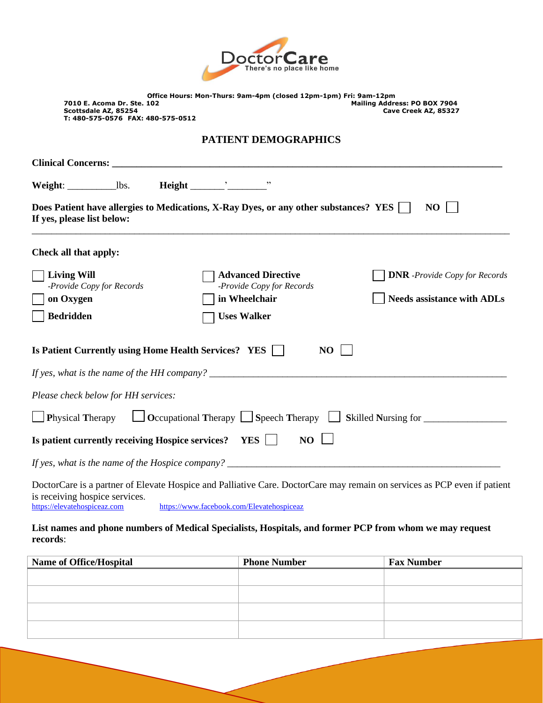

|                                   | Office Hours: Mon-Thurs: 9am-4pm (closed 12pm-1pm) Fri: 9am-12pm |                      |  |
|-----------------------------------|------------------------------------------------------------------|----------------------|--|
| 7010 E. Acoma Dr. Ste. 102        | <b>Mailing Address: PO BOX 7904</b>                              |                      |  |
| Scottsdale AZ, 85254              |                                                                  | Cave Creek AZ, 85327 |  |
| T: 480-575-0576 FAX: 480-575-0512 |                                                                  |                      |  |

### **PATIENT DEMOGRAPHICS**

| Does Patient have allergies to Medications, X-Ray Dyes, or any other substances? YES<br>NO<br>If yes, please list below: |                                                        |                                      |  |  |  |  |
|--------------------------------------------------------------------------------------------------------------------------|--------------------------------------------------------|--------------------------------------|--|--|--|--|
| Check all that apply:                                                                                                    |                                                        |                                      |  |  |  |  |
| <b>Living Will</b><br>-Provide Copy for Records                                                                          | <b>Advanced Directive</b><br>-Provide Copy for Records | <b>DNR</b> -Provide Copy for Records |  |  |  |  |
| on Oxygen                                                                                                                | in Wheelchair                                          | <b>Needs assistance with ADLs</b>    |  |  |  |  |
| <b>Bedridden</b>                                                                                                         | <b>Uses Walker</b>                                     |                                      |  |  |  |  |
| Is Patient Currently using Home Health Services? YES    <br>NO                                                           |                                                        |                                      |  |  |  |  |
|                                                                                                                          |                                                        |                                      |  |  |  |  |
| Please check below for HH services:                                                                                      |                                                        |                                      |  |  |  |  |
| $\Box$ Occupational Therapy $\Box$ Speech Therapy $\Box$ Skilled Nursing for<br><b>Physical Therapy</b>                  |                                                        |                                      |  |  |  |  |
| Is patient currently receiving Hospice services?<br>N <sub>O</sub><br><b>YES</b>                                         |                                                        |                                      |  |  |  |  |
|                                                                                                                          |                                                        |                                      |  |  |  |  |

DoctorCare is a partner of Elevate Hospice and Palliative Care. DoctorCare may remain on services as PCP even if patient is receiving hospice services.<br>https://elevatehospiceaz.com <https://www.facebook.com/Elevatehospiceaz>

### **List names and phone numbers of Medical Specialists, Hospitals, and former PCP from whom we may request records**:

| <b>Name of Office/Hospital</b> | <b>Phone Number</b> | <b>Fax Number</b> |
|--------------------------------|---------------------|-------------------|
|                                |                     |                   |
|                                |                     |                   |
|                                |                     |                   |
|                                |                     |                   |
|                                |                     |                   |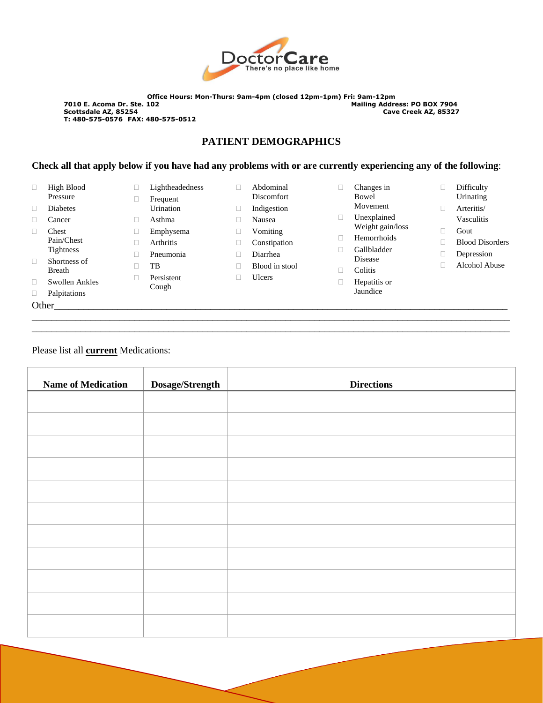

## **PATIENT DEMOGRAPHICS**

### **Check all that apply below if you have had any problems with or are currently experiencing any of the following**:

| □            | High Blood            |   | Lightheadedness     | ш | Abdominal         | Changes in       | □ | Difficulty             |
|--------------|-----------------------|---|---------------------|---|-------------------|------------------|---|------------------------|
|              | Pressure              |   | Frequent            |   | <b>Discomfort</b> | Bowel            |   | Urinating              |
| □            | <b>Diabetes</b>       |   | Urination           | Ц | Indigestion       | Movement         | □ | Arteritis/             |
| ш            | Cancer                |   | Asthma              |   | Nausea            | Unexplained      |   | Vasculitis             |
| $\mathbf{L}$ | Chest                 | ш | Emphysema           | ⊔ | Vomiting          | Weight gain/loss |   | Gout                   |
|              | Pain/Chest            |   | <b>Arthritis</b>    | Ц | Constipation      | Hemorrhoids      |   | <b>Blood Disorders</b> |
|              | <b>Tightness</b>      |   | Pneumonia           |   | Diarrhea          | Gallbladder      |   | Depression             |
| $\Box$       | Shortness of          |   | TB                  |   | Blood in stool    | Disease          |   | Alcohol Abuse          |
|              | <b>Breath</b>         |   |                     |   |                   | Colitis          |   |                        |
| □            | <b>Swollen Ankles</b> |   | Persistent<br>Cough | Ш | Ulcers            | Hepatitis or     |   |                        |
| $\Box$       | Palpitations          |   |                     |   |                   | Jaundice         |   |                        |
|              | Other                 |   |                     |   |                   |                  |   |                        |
|              |                       |   |                     |   |                   |                  |   |                        |

- Abdominal Discomfort Indigestion Nausea Vomiting Constipation
- Diarrhea
- Blood in stool
- Ulcers

\_\_\_\_\_\_\_\_\_\_\_\_\_\_\_\_\_\_\_\_\_\_\_\_\_\_\_\_\_\_\_\_\_\_\_\_\_\_\_\_\_\_\_\_\_\_\_\_\_\_\_\_\_\_\_\_\_\_\_\_\_\_\_\_\_\_\_\_\_\_\_\_\_\_\_\_\_\_\_\_\_\_\_\_\_\_\_\_\_\_\_\_\_\_\_\_\_\_

- Arteritis/
	- Vasculitis
- Gout
- Blood Disorders
- Depression
- Alcohol Abuse

Please list all **current** Medications:

| <b>Name of Medication</b> | Dosage/Strength | <b>Directions</b> |
|---------------------------|-----------------|-------------------|
|                           |                 |                   |
|                           |                 |                   |
|                           |                 |                   |
|                           |                 |                   |
|                           |                 |                   |
|                           |                 |                   |
|                           |                 |                   |
|                           |                 |                   |
|                           |                 |                   |
|                           |                 |                   |
|                           |                 |                   |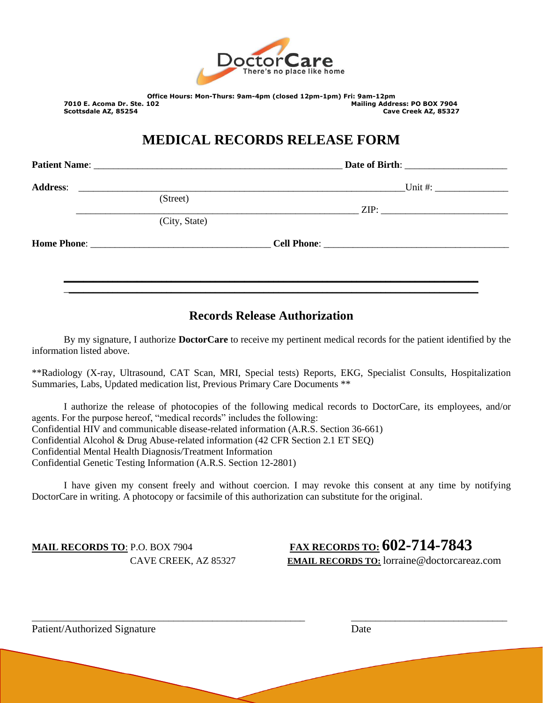

**Office Hours: Mon-Thurs: 9am-4pm (closed 12pm-1pm) Fri: 9am-12pm 7010 E. Acoma Dr. Ste. 102 Mailing Address: PO BOX 7904 Scottsdale AZ, 85254 Cave Creek AZ, 85327**

# **MEDICAL RECORDS RELEASE FORM**

**Patient Name**: \_\_\_\_\_\_\_\_\_\_\_\_\_\_\_\_\_\_\_\_\_\_\_\_\_\_\_\_\_\_\_\_\_\_\_\_\_\_\_\_\_\_\_\_\_\_\_\_\_\_\_ **Date of Birth**: \_\_\_\_\_\_\_\_\_\_\_\_\_\_\_\_\_\_\_\_\_

\_\_\_\_\_\_\_\_\_\_\_\_\_\_\_\_\_\_\_\_\_\_\_\_\_\_\_\_\_\_\_\_\_\_\_\_\_\_\_\_\_\_\_\_\_\_\_\_\_\_\_\_\_\_\_\_\_\_ ZIP: \_\_\_\_\_\_\_\_\_\_\_\_\_\_\_\_\_\_\_\_\_\_\_\_\_\_

**Address:** Unit #:

(Street) (City, State)

**Home Phone**: \_\_\_\_\_\_\_\_\_\_\_\_\_\_\_\_\_\_\_\_\_\_\_\_\_\_\_\_\_\_\_\_\_\_\_\_\_ **Cell Phone**: \_\_\_\_\_\_\_\_\_\_\_\_\_\_\_\_\_\_\_\_\_\_\_\_\_\_\_\_\_\_\_\_\_\_\_\_\_\_

## **Records Release Authorization**

**\_\_\_\_\_\_\_\_\_\_\_\_\_\_\_\_\_\_\_\_\_\_\_\_\_\_\_\_\_\_\_\_\_\_\_\_\_\_\_\_\_\_\_\_\_\_\_\_\_\_\_\_\_\_\_\_\_\_\_\_\_\_\_\_\_\_\_\_\_\_\_\_\_\_\_\_\_\_\_\_\_\_\_\_\_** \_**\_\_\_\_\_\_\_\_\_\_\_\_\_\_\_\_\_\_\_\_\_\_\_\_\_\_\_\_\_\_\_\_\_\_\_\_\_\_\_\_\_\_\_\_\_\_\_\_\_\_\_\_\_\_\_\_\_\_\_\_\_\_\_\_\_\_\_\_\_\_\_\_\_\_\_\_\_\_\_\_\_\_\_\_**

By my signature, I authorize **DoctorCare** to receive my pertinent medical records for the patient identified by the information listed above.

\*\*Radiology (X-ray, Ultrasound, CAT Scan, MRI, Special tests) Reports, EKG, Specialist Consults, Hospitalization Summaries, Labs, Updated medication list, Previous Primary Care Documents \*\*

I authorize the release of photocopies of the following medical records to DoctorCare, its employees, and/or agents. For the purpose hereof, "medical records" includes the following: Confidential HIV and communicable disease-related information (A.R.S. Section 36-661) Confidential Alcohol & Drug Abuse-related information (42 CFR Section 2.1 ET SEQ) Confidential Mental Health Diagnosis/Treatment Information Confidential Genetic Testing Information (A.R.S. Section 12-2801)

I have given my consent freely and without coercion. I may revoke this consent at any time by notifying DoctorCare in writing. A photocopy or facsimile of this authorization can substitute for the original.

\_\_\_\_\_\_\_\_\_\_\_\_\_\_\_\_\_\_\_\_\_\_\_\_\_\_\_\_\_\_\_\_\_\_\_\_\_\_\_\_\_\_\_\_\_\_\_\_\_\_\_\_\_\_\_\_ \_\_\_\_\_\_\_\_\_\_\_\_\_\_\_\_\_\_\_\_\_\_\_\_\_\_\_\_\_\_\_\_

**MAIL RECORDS TO**: P.O. BOX 7904 **FAX RECORDS TO: 602-714-7843** CAVE CREEK, AZ 85327 **EMAIL RECORDS TO:** lorraine@doctorcareaz.com

Patient/Authorized Signature Date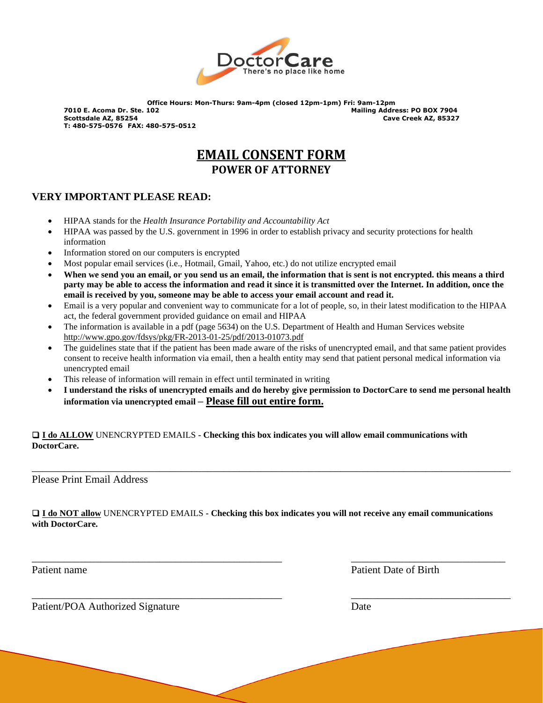

# **EMAIL CONSENT FORM POWER OF ATTORNEY**

### **VERY IMPORTANT PLEASE READ:**

- HIPAA stands for the *Health Insurance Portability and Accountability Act*
- HIPAA was passed by the U.S. government in 1996 in order to establish privacy and security protections for health information
- Information stored on our computers is encrypted
- Most popular email services (i.e., Hotmail, Gmail, Yahoo, etc.) do not utilize encrypted email
- **When we send you an email, or you send us an email, the information that is sent is not encrypted. this means a third party may be able to access the information and read it since it is transmitted over the Internet. In addition, once the email is received by you, someone may be able to access your email account and read it.**
- Email is a very popular and convenient way to communicate for a lot of people, so, in their latest modification to the HIPAA act, the federal government provided guidance on email and HIPAA
- The information is available in a pdf (page 5634) on the U.S. Department of Health and Human Services website <http://www.gpo.gov/fdsys/pkg/FR-2013-01-25/pdf/2013-01073.pdf>
- The guidelines state that if the patient has been made aware of the risks of unencrypted email, and that same patient provides consent to receive health information via email, then a health entity may send that patient personal medical information via unencrypted email
- This release of information will remain in effect until terminated in writing
- **I understand the risks of unencrypted emails and do hereby give permission to DoctorCare to send me personal health information via unencrypted email – Please fill out entire form.**

❑ **I do ALLOW** UNENCRYPTED EMAILS **- Checking this box indicates you will allow email communications with DoctorCare.**

Please Print Email Address

❑ **I do NOT allow** UNENCRYPTED EMAILS **- Checking this box indicates you will not receive any email communications with DoctorCare.**

\_\_\_\_\_\_\_\_\_\_\_\_\_\_\_\_\_\_\_\_\_\_\_\_\_\_\_\_\_\_\_\_\_\_\_\_\_\_\_\_\_\_\_\_\_\_\_ \_\_\_\_\_\_\_\_\_\_\_\_\_\_\_\_\_\_\_\_\_\_\_\_\_\_\_\_\_

\_\_\_\_\_\_\_\_\_\_\_\_\_\_\_\_\_\_\_\_\_\_\_\_\_\_\_\_\_\_\_\_\_\_\_\_\_\_\_\_\_\_\_\_\_\_\_ \_\_\_\_\_\_\_\_\_\_\_\_\_\_\_\_\_\_\_\_\_\_\_\_\_\_\_\_\_\_

\_\_\_\_\_\_\_\_\_\_\_\_\_\_\_\_\_\_\_\_\_\_\_\_\_\_\_\_\_\_\_\_\_\_\_\_\_\_\_\_\_\_\_\_\_\_\_\_\_\_\_\_\_\_\_\_\_\_\_\_\_\_\_\_\_\_\_\_\_\_\_\_\_\_\_\_\_\_\_\_\_\_\_\_\_\_\_\_\_\_

Patient name Patient Date of Birth

Patient/POA Authorized Signature Date Date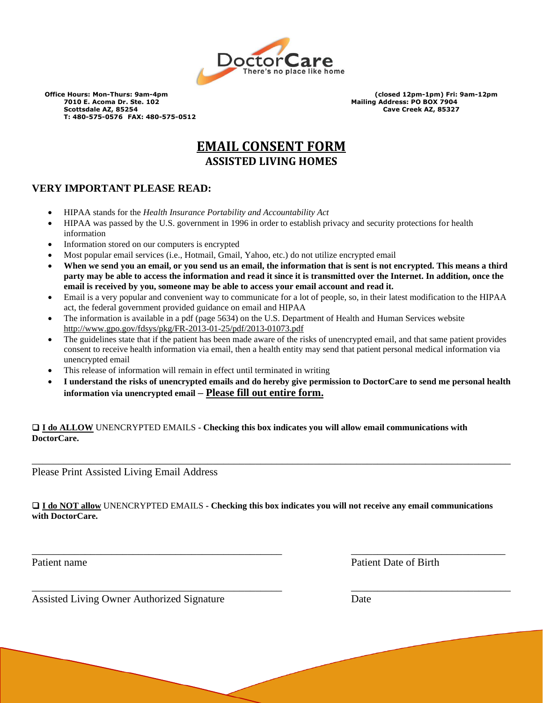

# **EMAIL CONSENT FORM ASSISTED LIVING HOMES**

## **VERY IMPORTANT PLEASE READ:**

- HIPAA stands for the *Health Insurance Portability and Accountability Act*
- HIPAA was passed by the U.S. government in 1996 in order to establish privacy and security protections for health information
- Information stored on our computers is encrypted
- Most popular email services (i.e., Hotmail, Gmail, Yahoo, etc.) do not utilize encrypted email
- **When we send you an email, or you send us an email, the information that is sent is not encrypted. This means a third party may be able to access the information and read it since it is transmitted over the Internet. In addition, once the email is received by you, someone may be able to access your email account and read it.**
- Email is a very popular and convenient way to communicate for a lot of people, so, in their latest modification to the HIPAA act, the federal government provided guidance on email and HIPAA
- The information is available in a pdf (page 5634) on the U.S. Department of Health and Human Services website <http://www.gpo.gov/fdsys/pkg/FR-2013-01-25/pdf/2013-01073.pdf>
- The guidelines state that if the patient has been made aware of the risks of unencrypted email, and that same patient provides consent to receive health information via email, then a health entity may send that patient personal medical information via unencrypted email
- This release of information will remain in effect until terminated in writing
- **I understand the risks of unencrypted emails and do hereby give permission to DoctorCare to send me personal health information via unencrypted email – Please fill out entire form.**

❑ **I do ALLOW** UNENCRYPTED EMAILS **- Checking this box indicates you will allow email communications with DoctorCare.**

Please Print Assisted Living Email Address

❑ **I do NOT allow** UNENCRYPTED EMAILS **- Checking this box indicates you will not receive any email communications with DoctorCare.**

\_\_\_\_\_\_\_\_\_\_\_\_\_\_\_\_\_\_\_\_\_\_\_\_\_\_\_\_\_\_\_\_\_\_\_\_\_\_\_\_\_\_\_\_\_\_\_ \_\_\_\_\_\_\_\_\_\_\_\_\_\_\_\_\_\_\_\_\_\_\_\_\_\_\_\_\_

\_\_\_\_\_\_\_\_\_\_\_\_\_\_\_\_\_\_\_\_\_\_\_\_\_\_\_\_\_\_\_\_\_\_\_\_\_\_\_\_\_\_\_\_\_\_\_ \_\_\_\_\_\_\_\_\_\_\_\_\_\_\_\_\_\_\_\_\_\_\_\_\_\_\_\_\_\_

\_\_\_\_\_\_\_\_\_\_\_\_\_\_\_\_\_\_\_\_\_\_\_\_\_\_\_\_\_\_\_\_\_\_\_\_\_\_\_\_\_\_\_\_\_\_\_\_\_\_\_\_\_\_\_\_\_\_\_\_\_\_\_\_\_\_\_\_\_\_\_\_\_\_\_\_\_\_\_\_\_\_\_\_\_\_\_\_\_\_

Patient name **Patient Date of Birth** 

Assisted Living Owner Authorized Signature Date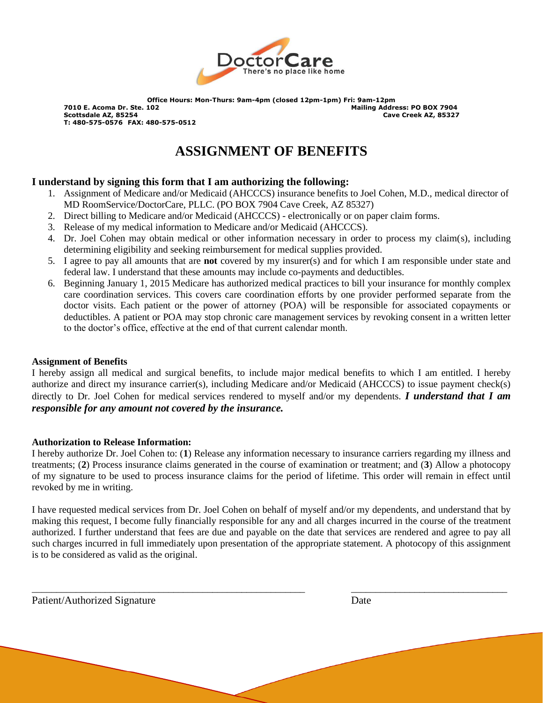

# **ASSIGNMENT OF BENEFITS**

### **I understand by signing this form that I am authorizing the following:**

- 1. Assignment of Medicare and/or Medicaid (AHCCCS) insurance benefits to Joel Cohen, M.D., medical director of MD RoomService/DoctorCare, PLLC. (PO BOX 7904 Cave Creek, AZ 85327)
- 2. Direct billing to Medicare and/or Medicaid (AHCCCS) electronically or on paper claim forms.
- 3. Release of my medical information to Medicare and/or Medicaid (AHCCCS).
- 4. Dr. Joel Cohen may obtain medical or other information necessary in order to process my claim(s), including determining eligibility and seeking reimbursement for medical supplies provided.
- 5. I agree to pay all amounts that are **not** covered by my insurer(s) and for which I am responsible under state and federal law. I understand that these amounts may include co-payments and deductibles.
- 6. Beginning January 1, 2015 Medicare has authorized medical practices to bill your insurance for monthly complex care coordination services. This covers care coordination efforts by one provider performed separate from the doctor visits. Each patient or the power of attorney (POA) will be responsible for associated copayments or deductibles. A patient or POA may stop chronic care management services by revoking consent in a written letter to the doctor's office, effective at the end of that current calendar month.

### **Assignment of Benefits**

I hereby assign all medical and surgical benefits, to include major medical benefits to which I am entitled. I hereby authorize and direct my insurance carrier(s), including Medicare and/or Medicaid (AHCCCS) to issue payment check(s) directly to Dr. Joel Cohen for medical services rendered to myself and/or my dependents. *I understand that I am responsible for any amount not covered by the insurance.* 

### **Authorization to Release Information:**

I hereby authorize Dr. Joel Cohen to: (**1**) Release any information necessary to insurance carriers regarding my illness and treatments; (**2**) Process insurance claims generated in the course of examination or treatment; and (**3**) Allow a photocopy of my signature to be used to process insurance claims for the period of lifetime. This order will remain in effect until revoked by me in writing.

I have requested medical services from Dr. Joel Cohen on behalf of myself and/or my dependents, and understand that by making this request, I become fully financially responsible for any and all charges incurred in the course of the treatment authorized. I further understand that fees are due and payable on the date that services are rendered and agree to pay all such charges incurred in full immediately upon presentation of the appropriate statement. A photocopy of this assignment is to be considered as valid as the original.

\_\_\_\_\_\_\_\_\_\_\_\_\_\_\_\_\_\_\_\_\_\_\_\_\_\_\_\_\_\_\_\_\_\_\_\_\_\_\_\_\_\_\_\_\_\_\_\_\_\_\_\_\_\_\_\_ \_\_\_\_\_\_\_\_\_\_\_\_\_\_\_\_\_\_\_\_\_\_\_\_\_\_\_\_\_\_\_\_

Patient/Authorized Signature Date